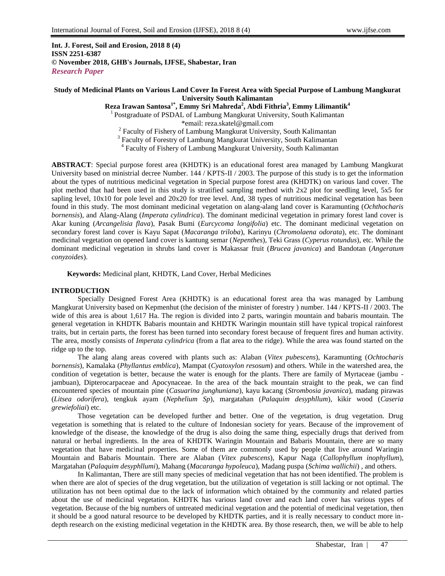**Int. J. Forest, Soil and Erosion, 2018 8 (4) ISSN 2251-6387 © November 2018, GHB's Journals, IJFSE, Shabestar, Iran** *Research Paper*

# **Study of Medicinal Plants on Various Land Cover In Forest Area with Special Purpose of Lambung Mangkurat University South Kalimantan**

**Reza Irawan Santosa1\*, Emmy Sri Mahreda<sup>2</sup> , Abdi Fithria<sup>3</sup> , Emmy Lilimantik<sup>4</sup>**

<sup>1</sup> Postgraduate of PSDAL of Lambung Mangkurat University, South Kalimantan

\*email: reza.skatel@gmail.com

<sup>2</sup> Faculty of Fishery of Lambung Mangkurat University, South Kalimantan

<sup>3</sup> Faculty of Forestry of Lambung Mangkurat University, South Kalimantan

4 Faculty of Fishery of Lambung Mangkurat University, South Kalimantan

**ABSTRACT**: Special purpose forest area (KHDTK) is an educational forest area managed by Lambung Mangkurat University based on ministrial decree Number. 144 / KPTS-II / 2003. The purpose of this study is to get the information about the types of nutritious medicinal vegetation in Special purpose forest area (KHDTK) on various land cover. The plot method that had been used in this study is stratified sampling method with 2x2 plot for seedling level, 5x5 for sapling level, 10x10 for pole level and 20x20 for tree level. And, 38 types of nutritious medicinal vegetation has been found in this study. The most dominant medicinal vegetation on alang-alang land cover is Karamunting (*Ochthocharis bornensis*), and Alang-Alang (*Imperata cylindrica*). The dominant medicinal vegetation in primary forest land cover is Akar kuning (*Arcangelisia flava*), Pasak Bumi (*Eurcycoma longifolia*) etc. The dominant medicinal vegetation on secondary forest land cover is Kayu Sapat (*Macaranga triloba*), Karinyu (*Chromolaena odorata*), etc. The dominant medicinal vegetation on opened land cover is kantung semar (*Nepenthes*), Teki Grass (*Cyperus rotundus*), etc. While the dominant medicinal vegetation in shrubs land cover is Makassar fruit (*Brucea javanica*) and Bandotan (*Angeratum conyzoides*).

**Keywords:** Medicinal plant, KHDTK, Land Cover, Herbal Medicines

# **INTRODUCTION**

Specially Designed Forest Area (KHDTK) is an educational forest area tha was managed by Lambung Mangkurat University based on Kepmenhut (the decision of the minister of forestry ) number. 144 / KPTS-II / 2003. The wide of this area is about 1,617 Ha. The region is divided into 2 parts, waringin mountain and babaris mountain. The general vegetation in KHDTK Babaris mountain and KHDTK Waringin mountain still have typical tropical rainforest traits, but in certain parts, the forest has been turned into secondary forest because of frequent fires and human activity. The area, mostly consists of *Imperata cylindrica* (from a flat area to the ridge). While the area was found started on the ridge up to the top.

The alang alang areas covered with plants such as: Alaban (*Vitex pubescens*), Karamunting (*Ochtocharis bornensis*), Kamalaka (*Phyllantus emblica*), Mampat (*Cyatoxylon resosum*) and others. While in the watershed area, the condition of vegetation is better, because the water is enough for the plants. There are family of Myrtaceae (jambu jambuan), Dipterocarpaceae and Apocynaceae. In the area of the back mountain straight to the peak, we can find encountered species of mountain pine (*Casuarina junghuniana*), kayu kacang (*Strombosia javanica*), madang pirawas (*Litsea odorifera*), tengkuk ayam (*Nephelium Sp*), margatahan (*Palaquim desyphllum*), kikir wood (*Caseria grewiefoliai*) etc.

Those vegetation can be developed further and better. One of the vegetation, is drug vegetation. Drug vegetation is something that is related to the culture of Indonesian society for years. Because of the improvement of knowledge of the disease, the knowledge of the drug is also doing the same thing, especially drugs that derived from natural or herbal ingredients. In the area of KHDTK Waringin Mountain and Babaris Mountain, there are so many vegetation that have medicinal properties. Some of them are commonly used by people that live around Waringin Mountain and Babaris Mountain. There are Alaban (*Vitex pubescens*), Kapur Naga (*Callophyllum inophyllum*), Margatahan (*Palaquim desyphllumi*), Mahang (*Macaranga hypoleuca*), Madang puspa (*Schima wallichii*) , and others.

In Kalimantan, There are still many species of medicinal vegetation that has not been identified. The problem is when there are alot of species of the drug vegetation, but the utilization of vegetation is still lacking or not optimal. The utilization has not been optimal due to the lack of information which obtained by the community and related parties about the use of medicinal vegetation. KHDTK has various land cover and each land cover has various types of vegetation. Because of the big numbers of untreated medicinal vegetation and the potential of medicinal vegetation, then it should be a good natural resource to be developed by KHDTK parties, and it is really necessary to conduct more indepth research on the existing medicinal vegetation in the KHDTK area. By those research, then, we will be able to help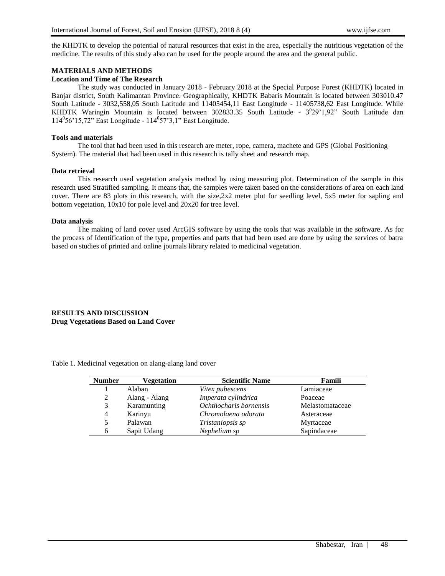the KHDTK to develop the potential of natural resources that exist in the area, especially the nutritious vegetation of the medicine. The results of this study also can be used for the people around the area and the general public.

# **MATERIALS AND METHODS**

# **Location and Time of The Research**

The study was conducted in January 2018 - February 2018 at the Special Purpose Forest (KHDTK) located in Banjar district, South Kalimantan Province. Geographically, KHDTK Babaris Mountain is located between 303010.47 South Latitude - 3032,558,05 South Latitude and 11405454,11 East Longitude - 11405738,62 East Longitude. While KHDTK Waringin Mountain is located between 302833.35 South Latitude - 3<sup>0</sup>29'1,92" South Latitude dan 114<sup>0</sup> 56'15,72" East Longitude - 114<sup>0</sup> 57'3,1" East Longitude.

### **Tools and materials**

The tool that had been used in this research are meter, rope, camera, machete and GPS (Global Positioning System). The material that had been used in this research is tally sheet and research map.

#### **Data retrieval**

This research used vegetation analysis method by using measuring plot. Determination of the sample in this research used Stratified sampling. It means that, the samples were taken based on the considerations of area on each land cover. There are 83 plots in this research, with the size,2x2 meter plot for seedling level, 5x5 meter for sapling and bottom vegetation, 10x10 for pole level and 20x20 for tree level.

## **Data analysis**

The making of land cover used ArcGIS software by using the tools that was available in the software. As for the process of Identification of the type, properties and parts that had been used are done by using the services of batra based on studies of printed and online journals library related to medicinal vegetation.

# **RESULTS AND DISCUSSION Drug Vegetations Based on Land Cover**

| <b>Number</b> | Vegetation    | <b>Scientific Name</b> | Famili          |
|---------------|---------------|------------------------|-----------------|
|               | Alaban        | Vitex pubescens        | Lamiaceae       |
| 2             | Alang - Alang | Imperata cylindrica    | Poaceae         |
| 3             | Karamunting   | Ochthocharis bornensis | Melastomataceae |
| 4             | Karinyu       | Chromolaena odorata    | Asteraceae      |
| 5             | Palawan       | Tristaniopsis sp       | Myrtaceae       |
| 6             | Sapit Udang   | Nephelium sp           | Sapindaceae     |

Table 1. Medicinal vegetation on alang-alang land cover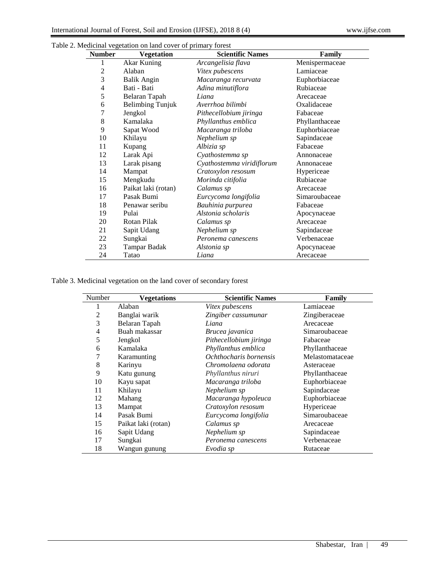| <b>Number</b> | <b>Vegetation</b>       | <b>Scientific Names</b>   | Family         |
|---------------|-------------------------|---------------------------|----------------|
| 1             | Akar Kuning             | Arcangelisia flava        | Menispermaceae |
| 2             | Alaban                  | <i>Vitex pubescens</i>    | Lamiaceae      |
| 3             | <b>Balik Angin</b>      | Macaranga recurvata       | Euphorbiaceae  |
| 4             | Bati - Bati             | Adina minutiflora         | Rubiaceae      |
| 5             | Belaran Tapah           | Liana                     | Arecaceae      |
| 6             | <b>Belimbing Tunjuk</b> | Averrhoa bilimbi          | Oxalidaceae    |
| 7             | Jengkol                 | Pithecellobium jiringa    | Fabaceae       |
| 8             | Kamalaka                | Phyllanthus emblica       | Phyllanthaceae |
| 9             | Sapat Wood              | Macaranga triloba         | Euphorbiaceae  |
| 10            | Khilayu                 | Nephelium sp              | Sapindaceae    |
| 11            | Kupang                  | Albizia sp                | Fabaceae       |
| 12            | Larak Api               | Cyathostemma sp           | Annonaceae     |
| 13            | Larak pisang            | Cyathostemma viridiflorum | Annonaceae     |
| 14            | Mampat                  | Cratoxylon resosum        | Hypericeae     |
| 15            | Mengkudu                | Morinda citifolia         | Rubiaceae      |
| 16            | Paikat laki (rotan)     | Calamus sp                | Arecaceae      |
| 17            | Pasak Bumi              | Eurcycoma longifolia      | Simaroubaceae  |
| 18            | Penawar seribu          | Bauhinia purpurea         | Fabaceae       |
| 19            | Pulai                   | Alstonia scholaris        | Apocynaceae    |
| 20            | Rotan Pilak             | Calamus sp                | Arecaceae      |
| 21            | Sapit Udang             | Nephelium sp              | Sapindaceae    |
| 22            | Sungkai                 | Peronema canescens        | Verbenaceae    |
| 23            | Tampar Badak            | Alstonia sp               | Apocynaceae    |
| 24            | Tatao                   | Liana                     | Arecaceae      |

Table 2. Medicinal vegetation on land cover of primary forest

Table 3. Medicinal vegetation on the land cover of secondary forest

| Number         | <b>Vegetations</b>  | <b>Scientific Names</b> | Family          |
|----------------|---------------------|-------------------------|-----------------|
| 1              | Alaban              | Vitex pubescens         | Lamiaceae       |
| $\overline{2}$ | Banglai warik       | Zingiber cassumunar     | Zingiberaceae   |
| 3              | Belaran Tapah       | Liana                   | Arecaceae       |
| 4              | Buah makassar       | Brucea javanica         | Simaroubaceae   |
| 5              | Jengkol             | Pithecellobium jiringa  | Fabaceae        |
| 6              | Kamalaka            | Phyllanthus emblica     | Phyllanthaceae  |
| 7              | Karamunting         | Ochthocharis bornensis  | Melastomataceae |
| 8              | Karinyu             | Chromolaena odorata     | Asteraceae      |
| 9              | Katu gunung         | Phyllanthus niruri      | Phyllanthaceae  |
| 10             | Kayu sapat          | Macaranga triloba       | Euphorbiaceae   |
| 11             | Khilayu             | Nephelium sp            | Sapindaceae     |
| 12             | Mahang              | Macaranga hypoleuca     | Euphorbiaceae   |
| 13             | Mampat              | Cratoxylon resosum      | Hypericeae      |
| 14             | Pasak Bumi          | Eurcycoma longifolia    | Simaroubaceae   |
| 15             | Paikat laki (rotan) | Calamus sp              | Arecaceae       |
| 16             | Sapit Udang         | Nephelium sp            | Sapindaceae     |
| 17             | Sungkai             | Peronema canescens      | Verbenaceae     |
| 18             | Wangun gunung       | Evodia sp               | Rutaceae        |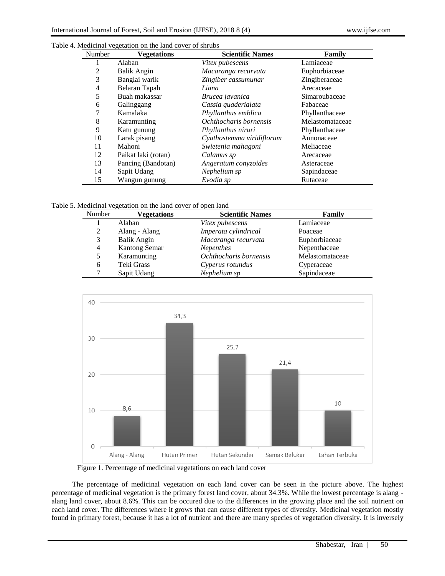| Number | <b>Vegetations</b>  | <b>Scientific Names</b>   | Family          |
|--------|---------------------|---------------------------|-----------------|
| 1      | Alaban              | Vitex pubescens           | Lamiaceae       |
| 2      | Balik Angin         | Macaranga recurvata       | Euphorbiaceae   |
| 3      | Banglai warik       | Zingiber cassumunar       | Zingiberaceae   |
| 4      | Belaran Tapah       | Liana                     | Arecaceae       |
| 5      | Buah makassar       | Brucea javanica           | Simaroubaceae   |
| 6      | Galinggang          | Cassia quaderialata       | Fabaceae        |
| 7      | Kamalaka            | Phyllanthus emblica       | Phyllanthaceae  |
| 8      | Karamunting         | Ochthocharis bornensis    | Melastomataceae |
| 9      | Katu gunung         | Phyllanthus niruri        | Phyllanthaceae  |
| 10     | Larak pisang        | Cyathostemma viridiflorum | Annonaceae      |
| 11     | Mahoni              | Swietenia mahagoni        | Meliaceae       |
| 12     | Paikat laki (rotan) | Calamus sp                | Arecaceae       |
| 13     | Pancing (Bandotan)  | Angeratum conyzoides      | Asteraceae      |
| 14     | Sapit Udang         | Nephelium sp              | Sapindaceae     |
| 15     | Wangun gunung       | Evodia sp                 | Rutaceae        |

Table 4. Medicinal vegetation on the land cover of shrubs

Table 5. Medicinal vegetation on the land cover of open land

| Number | <b>Vegetations</b>   | <b>Scientific Names</b> | Family          |
|--------|----------------------|-------------------------|-----------------|
|        | Alaban               | Vitex pubescens         | Lamiaceae       |
| 2      | Alang - Alang        | Imperata cylindrical    | Poaceae         |
| 3      | <b>Balik Angin</b>   | Macaranga recurvata     | Euphorbiaceae   |
| 4      | <b>Kantong Semar</b> | Nepenthes               | Nepenthaceae    |
|        | Karamunting          | Ochthocharis bornensis  | Melastomataceae |
| 6      | Teki Grass           | Cyperus rotundus        | Cyperaceae      |
|        | Sapit Udang          | Nephelium sp            | Sapindaceae     |



Figure 1. Percentage of medicinal vegetations on each land cover

The percentage of medicinal vegetation on each land cover can be seen in the picture above. The highest percentage of medicinal vegetation is the primary forest land cover, about 34.3%. While the lowest percentage is alang alang land cover, about 8.6%. This can be occured due to the differences in the growing place and the soil nutrient on each land cover. The differences where it grows that can cause different types of diversity. Medicinal vegetation mostly found in primary forest, because it has a lot of nutrient and there are many species of vegetation diversity. It is inversely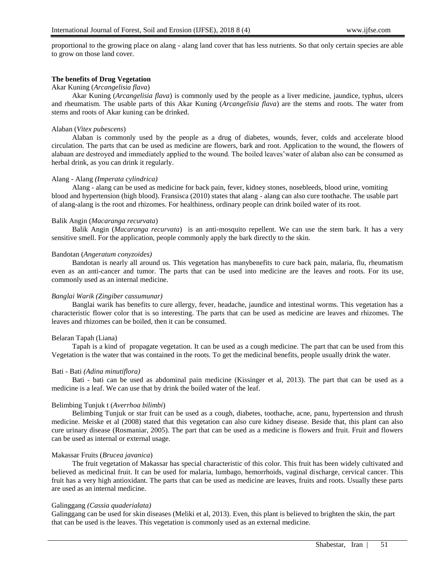proportional to the growing place on alang - alang land cover that has less nutrients. So that only certain species are able to grow on those land cover.

# **The benefits of Drug Vegetation**

## Akar Kuning (*Arcangelisia flava*)

Akar Kuning (*Arcangelisia flava*) is commonly used by the people as a liver medicine, jaundice, typhus, ulcers and rheumatism. The usable parts of this Akar Kuning (*Arcangelisia flava*) are the stems and roots. The water from stems and roots of Akar kuning can be drinked.

# Alaban (*Vitex pubescens*)

Alaban is commonly used by the people as a drug of diabetes, wounds, fever, colds and accelerate blood circulation. The parts that can be used as medicine are flowers, bark and root. Application to the wound, the flowers of alabaan are destroyed and immediately applied to the wound. The boiled leaves'water of alaban also can be consumed as herbal drink, as you can drink it regularly.

# Alang - Alang *(Imperata cylindrica)*

Alang - alang can be used as medicine for back pain, fever, kidney stones, nosebleeds, blood urine, vomiting blood and hypertension (high blood). Fransisca (2010) states that alang - alang can also cure toothache. The usable part of alang-alang is the root and rhizomes. For healthiness, ordinary people can drink boiled water of its root.

## Balik Angin (*Macaranga recurvata*)

Balik Angin (*Macaranga recurvata*) is an anti-mosquito repellent. We can use the stem bark. It has a very sensitive smell. For the application, people commonly apply the bark directly to the skin.

## Bandotan (*Angeratum conyzoides)*

Bandotan is nearly all around us. This vegetation has manybenefits to cure back pain, malaria, flu, rheumatism even as an anti-cancer and tumor. The parts that can be used into medicine are the leaves and roots. For its use, commonly used as an internal medicine.

# *Banglai Warik (Zingiber cassumunar)*

Banglai warik has benefits to cure allergy, fever, headache, jaundice and intestinal worms. This vegetation has a characteristic flower color that is so interesting. The parts that can be used as medicine are leaves and rhizomes. The leaves and rhizomes can be boiled, then it can be consumed.

## Belaran Tapah (Liana)

Tapah is a kind of propagate vegetation. It can be used as a cough medicine. The part that can be used from this Vegetation is the water that was contained in the roots. To get the medicinal benefits, people usually drink the water.

## Bati - Bati *(Adina minutiflora)*

Bati - bati can be used as abdominal pain medicine (Kissinger et al, 2013). The part that can be used as a medicine is a leaf. We can use that by drink the boiled water of the leaf.

# Belimbing Tunjuk t (*Averrhoa bilimbi*)

Belimbing Tunjuk or star fruit can be used as a cough, diabetes, toothache, acne, panu, hypertension and thrush medicine. Meiske et al (2008) stated that this vegetation can also cure kidney disease. Beside that, this plant can also cure urinary disease (Rosmaniar, 2005). The part that can be used as a medicine is flowers and fruit. Fruit and flowers can be used as internal or external usage.

# Makassar Fruits (*Brucea javanica*)

The fruit vegetation of Makassar has special characteristic of this color. This fruit has been widely cultivated and believed as medicinal fruit. It can be used for malaria, lumbago, hemorrhoids, vaginal discharge, cervical cancer. This fruit has a very high antioxidant. The parts that can be used as medicine are leaves, fruits and roots. Usually these parts are used as an internal medicine.

## Galinggang *(Cassia quaderialata)*

Galinggang can be used for skin diseases (Meliki et al, 2013). Even, this plant is believed to brighten the skin, the part that can be used is the leaves. This vegetation is commonly used as an external medicine.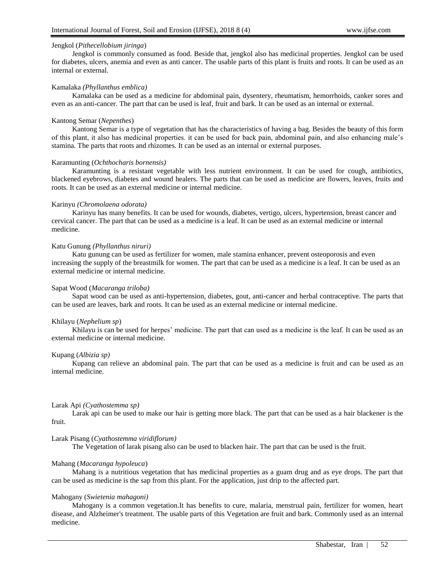# Jengkol (*Pithecellobium jiringa*)

Jengkol is commonly consumed as food. Beside that, jengkol also has medicinal properties. Jengkol can be used for diabetes, ulcers, anemia and even as anti cancer. The usable parts of this plant is fruits and roots. It can be used as an internal or external.

### Kamalaka *(Phyllanthus emblica)*

Kamalaka can be used as a medicine for abdominal pain, dysentery, rheumatism, hemorrhoids, canker sores and even as an anti-cancer. The part that can be used is leaf, fruit and bark. It can be used as an internal or external.

### Kantong Semar (*Nepenthes*)

Kantong Semar is a type of vegetation that has the characteristics of having a bag. Besides the beauty of this form of this plant, it also has medicinal properties. it can be used for back pain, abdominal pain, and also enhancing male's stamina. The parts that roots and rhizomes. It can be used as an internal or external purposes.

#### Karamunting (*Ochthocharis bornensis)*

Karamunting is a resistant vegetable with less nutrient environment. It can be used for cough, antibiotics, blackened eyebrows, diabetes and wound healers. The parts that can be used as medicine are flowers, leaves, fruits and roots. It can be used as an external medicine or internal medicine.

# Karinyu *(Chromolaena odorata)*

Karinyu has many benefits. It can be used for wounds, diabetes, vertigo, ulcers, hypertension, breast cancer and cervical cancer. The part that can be used as a medicine is a leaf. It can be used as an external medicine or internal medicine.

### Katu Gunung *(Phyllanthus niruri)*

Katu gunung can be used as fertilizer for women, male stamina enhancer, prevent osteoporosis and even increasing the supply of the breastmilk for women. The part that can be used as a medicine is a leaf. It can be used as an external medicine or internal medicine.

### Sapat Wood (*Macaranga triloba)*

Sapat wood can be used as anti-hypertension, diabetes, gout, anti-cancer and herbal contraceptive. The parts that can be used are leaves, bark and roots. It can be used as an external medicine or internal medicine.

### Khilayu (*Nephelium sp*)

Khilayu is can be used for herpes' medicine. The part that can used as a medicine is the leaf. It can be used as an external medicine or internal medicine.

## Kupang (*Albizia sp)*

Kupang can relieve an abdominal pain. The part that can be used as a medicine is fruit and can be used as an internal medicine.

#### Larak Api *(Cyathostemma sp)*

Larak api can be used to make our hair is getting more black. The part that can be used as a hair blackener is the fruit.

### Larak Pisang (*Cyathostemma viridiflorum)*

The Vegetation of larak pisang also can be used to blacken hair. The part that can be used is the fruit.

# Mahang (*Macaranga hypoleuca*)

Mahang is a nutritious vegetation that has medicinal properties as a guam drug and as eye drops. The part that can be used as medicine is the sap from this plant. For the application, just drip to the affected part.

### Mahogany (*Swietenia mahagoni)*

Mahogany is a common vegetation.It has benefits to cure, malaria, menstrual pain, fertilizer for women, heart disease, and Alzheimer's treatment. The usable parts of this Vegetation are fruit and bark. Commonly used as an internal medicine.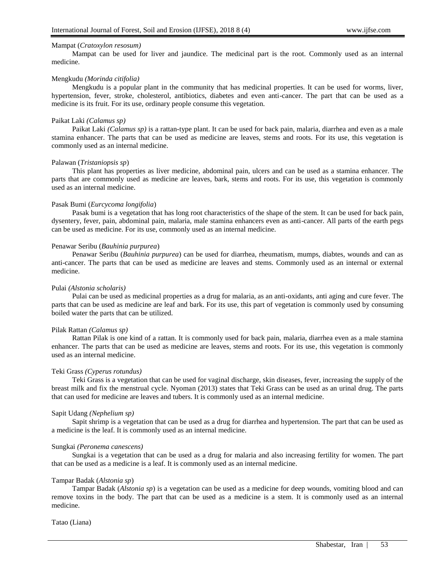## Mampat (*Cratoxylon resosum)*

Mampat can be used for liver and jaundice. The medicinal part is the root. Commonly used as an internal medicine.

### Mengkudu *(Morinda citifolia)*

Mengkudu is a popular plant in the community that has medicinal properties. It can be used for worms, liver, hypertension, fever, stroke, cholesterol, antibiotics, diabetes and even anti-cancer. The part that can be used as a medicine is its fruit. For its use, ordinary people consume this vegetation.

### Paikat Laki *(Calamus sp)*

Paikat Laki *(Calamus sp)* is a rattan-type plant. It can be used for back pain, malaria, diarrhea and even as a male stamina enhancer. The parts that can be used as medicine are leaves, stems and roots. For its use, this vegetation is commonly used as an internal medicine.

#### Palawan (*Tristaniopsis sp*)

This plant has properties as liver medicine, abdominal pain, ulcers and can be used as a stamina enhancer. The parts that are commonly used as medicine are leaves, bark, stems and roots. For its use, this vegetation is commonly used as an internal medicine.

## Pasak Bumi (*Eurcycoma longifolia*)

Pasak bumi is a vegetation that has long root characteristics of the shape of the stem. It can be used for back pain, dysentery, fever, pain, abdominal pain, malaria, male stamina enhancers even as anti-cancer. All parts of the earth pegs can be used as medicine. For its use, commonly used as an internal medicine.

### Penawar Seribu (*Bauhinia purpurea*)

Penawar Seribu (*Bauhinia purpurea*) can be used for diarrhea, rheumatism, mumps, diabtes, wounds and can as anti-cancer. The parts that can be used as medicine are leaves and stems. Commonly used as an internal or external medicine.

### Pulai *(Alstonia scholaris)*

Pulai can be used as medicinal properties as a drug for malaria, as an anti-oxidants, anti aging and cure fever. The parts that can be used as medicine are leaf and bark. For its use, this part of vegetation is commonly used by consuming boiled water the parts that can be utilized.

## Pilak Rattan *(Calamus sp)*

Rattan Pilak is one kind of a rattan. It is commonly used for back pain, malaria, diarrhea even as a male stamina enhancer. The parts that can be used as medicine are leaves, stems and roots. For its use, this vegetation is commonly used as an internal medicine.

## Teki Grass *(Cyperus rotundus)*

Teki Grass is a vegetation that can be used for vaginal discharge, skin diseases, fever, increasing the supply of the breast milk and fix the menstrual cycle. Nyoman (2013) states that Teki Grass can be used as an urinal drug. The parts that can used for medicine are leaves and tubers. It is commonly used as an internal medicine.

#### Sapit Udang *(Nephelium sp)*

Sapit shrimp is a vegetation that can be used as a drug for diarrhea and hypertension. The part that can be used as a medicine is the leaf. It is commonly used as an internal medicine.

### Sungkai *(Peronema canescens)*

Sungkai is a vegetation that can be used as a drug for malaria and also increasing fertility for women. The part that can be used as a medicine is a leaf. It is commonly used as an internal medicine.

# Tampar Badak (*Alstonia sp*)

Tampar Badak (*Alstonia sp*) is a vegetation can be used as a medicine for deep wounds, vomiting blood and can remove toxins in the body. The part that can be used as a medicine is a stem. It is commonly used as an internal medicine.

#### Tatao (Liana)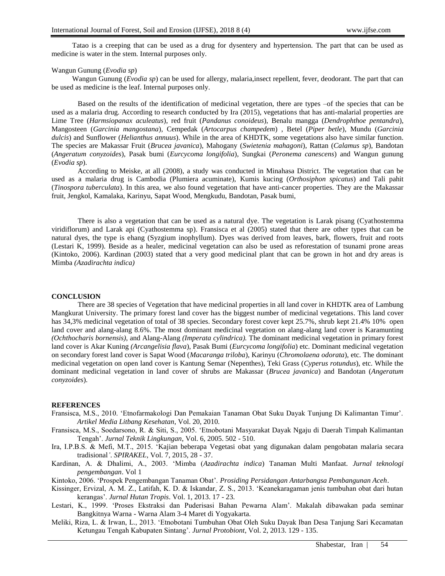Tatao is a creeping that can be used as a drug for dysentery and hypertension. The part that can be used as medicine is water in the stem. Internal purposes only.

### Wangun Gunung (*Evodia sp*)

Wangun Gunung (*Evodia sp*) can be used for allergy, malaria,insect repellent, fever, deodorant. The part that can be used as medicine is the leaf. Internal purposes only.

Based on the results of the identification of medicinal vegetation, there are types –of the species that can be used as a malaria drug. According to research conducted by Ira (2015), vegetations that has anti-malarial properties are Lime Tree (*Harmsiopanax aculeatus*), red fruit (*Pandanus conoideus*), Benalu mangga (*Dendrophthoe pentandra*), Mangosteen (*Garcinia mangostana*), Cempedak (*Artocarpus champedem*) , Betel (*Piper betle*), Mundu (*Garcinia dulcis*) and Sunflower (*Helianthus annuus*). While in the area of KHDTK, some vegetations also have similar function. The species are Makassar Fruit (*Brucea javanica*), Mahogany (*Swietenia mahagoni*), Rattan (*Calamus sp*), Bandotan (*Angeratum conyzoides*), Pasak bumi (*Eurcycoma longifolia*), Sungkai (*Peronema canescens*) and Wangun gunung (*Evodia sp*).

According to Meiske, at all (2008), a study was conducted in Minahasa District. The vegetation that can be used as a malaria drug is Cambodia (Plumiera acuminate), Kumis kucing (*Orthosiphon spicatus*) and Tali pahit (*Tinospora tuberculata*). In this area, we also found vegetation that have anti-cancer properties. They are the Makassar fruit, Jengkol, Kamalaka, Karinyu, Sapat Wood, Mengkudu, Bandotan, Pasak bumi,

There is also a vegetation that can be used as a natural dye. The vegetation is Larak pisang (Cyathostemma viridiflorum) and Larak api (Cyathostemma sp). Fransisca et al (2005) stated that there are other types that can be natural dyes, the type is ehang (Syzgium inophyllum). Dyes was derived from leaves, bark, flowers, fruit and roots (Lestari K, 1999). Beside as a healer, medicinal vegetation can also be used as reforestation of tsunami prone areas (Kintoko, 2006). Kardinan (2003) stated that a very good medicinal plant that can be grown in hot and dry areas is Mimba *(Azadirachta indica)*

### **CONCLUSION**

There are 38 species of Vegetation that have medicinal properties in all land cover in KHDTK area of Lambung Mangkurat University. The primary forest land cover has the biggest number of medicinal vegetations. This land cover has 34,3% medicinal vegetation of total of 38 species. Secondary forest cover kept 25.7%, shrub kept 21.4% 10% open land cover and alang-alang 8.6%. The most dominant medicinal vegetation on alang-alang land cover is Karamunting *(Ochthocharis bornensis)*, and Alang-Alang *(Imperata cylindrica).* The dominant medicinal vegetation in primary forest land cover is Akar Kuning *(Arcangelisia flava*), Pasak Bumi (*Eurcycoma longifolia*) etc. Dominant medicinal vegetation on secondary forest land cover is Sapat Wood (*Macaranga triloba*), Karinyu (*Chromolaena odorata*), etc. The dominant medicinal vegetation on open land cover is Kantung Semar (Nepenthes), Teki Grass (*Cyperus rotundus*), etc. While the dominant medicinal vegetation in land cover of shrubs are Makassar (*Brucea javanica*) and Bandotan (*Angeratum conyzoides*).

#### **REFERENCES**

- Fransisca, M.S., 2010. 'Etnofarmakologi Dan Pemakaian Tanaman Obat Suku Dayak Tunjung Di Kalimantan Timur'. *Artikel Media Litbang Kesehatan*, Vol. 20, 2010.
- Fransisca, M.S., Soedarsono, R. & Siti, S., 2005. 'Etnobotani Masyarakat Dayak Ngaju di Daerah Timpah Kalimantan Tengah'. *Jurnal Teknik Lingkungan*, Vol. 6, 2005. 502 - 510.
- Ira, I.P.B.S. & Mefi, M.T., 2015. 'Kajian beberapa Vegetasi obat yang digunakan dalam pengobatan malaria secara tradisional*'*. *SPIRAKEL*, Vol. 7, 2015, 28 - 37.
- Kardinan, A. & Dhalimi, A., 2003. 'Mimba (*Azadirachta indica*) Tanaman Multi Manfaat. *Jurnal teknologi pengembangan*. Vol 1

Kintoko, 2006. 'Prospek Pengembangan Tanaman Obat'. *Prosiding Persidangan Antarbangsa Pembangunan Aceh*.

- Kissinger, Ervizal, A. M. Z., Latifah, K. D. & Iskandar, Z. S., 2013. 'Keanekaragaman jenis tumbuhan obat dari hutan kerangas'. *Jurnal Hutan Tropis*. Vol. 1, 2013. 17 - 23.
- Lestari, K., 1999. 'Proses Ekstraksi dan Puderisasi Bahan Pewarna Alam'. Makalah dibawakan pada seminar Bangkitnya Warna - Warna Alam 3-4 Maret di Yogyakarta.
- Meliki, Riza, L. & Irwan, L., 2013. 'Etnobotani Tumbuhan Obat Oleh Suku Dayak Iban Desa Tanjung Sari Kecamatan Ketungau Tengah Kabupaten Sintang'. *Jurnal Protobiont*, Vol. 2, 2013. 129 - 135.